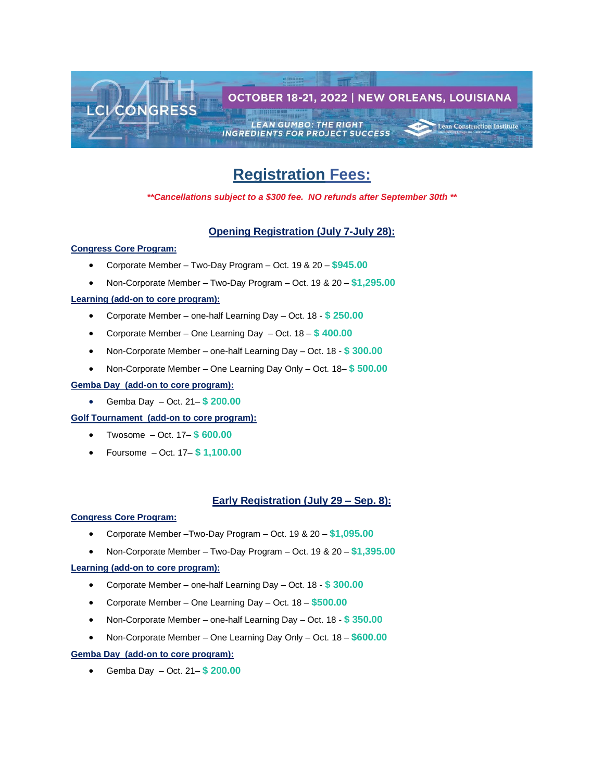

# **Registration Fees:**

*\*\*Cancellations subject to a \$300 fee. NO refunds after September 30th \*\**

## **Opening Registration (July 7-July 28):**

## **Congress Core Program:**

- Corporate Member Two-Day Program Oct. 19 & 20 **\$945.00**
- Non-Corporate Member Two-Day Program Oct. 19 & 20 **\$1,295.00**

## **Learning (add-on to core program):**

- Corporate Member one-half Learning Day Oct. 18 **\$ 250.00**
- Corporate Member One Learning Day Oct. 18 **\$ 400.00**
- Non-Corporate Member one-half Learning Day Oct. 18 **\$ 300.00**
- Non-Corporate Member One Learning Day Only Oct. 18– **\$ 500.00**

#### **Gemba Day (add-on to core program):**

• Gemba Day – Oct. 21– **\$ 200.00**

## **Golf Tournament (add-on to core program):**

- Twosome Oct. 17– **\$ 600.00**
- Foursome Oct. 17– **\$ 1,100.00**

## **Early Registration (July 29 – Sep. 8):**

#### **Congress Core Program:**

- Corporate Member –Two-Day Program Oct. 19 & 20 **\$1,095.00**
- Non-Corporate Member Two-Day Program Oct. 19 & 20 **\$1,395.00**

#### **Learning (add-on to core program):**

- Corporate Member one-half Learning Day Oct. 18 **\$ 300.00**
- Corporate Member One Learning Day Oct. 18 **\$500.00**
- Non-Corporate Member one-half Learning Day Oct. 18 **\$ 350.00**
- Non-Corporate Member One Learning Day Only Oct. 18 **\$600.00**

## **Gemba Day (add-on to core program):**

• Gemba Day – Oct. 21– **\$ 200.00**